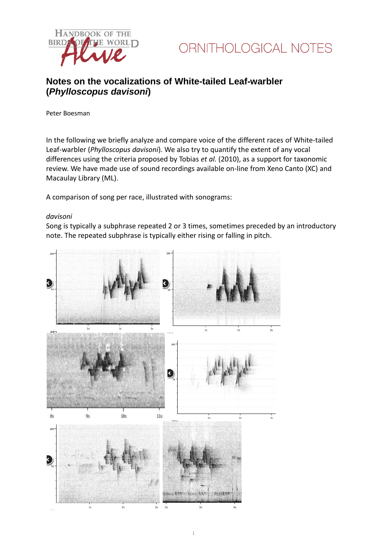



# **Notes on the vocalizations of White-tailed Leaf-warbler (***Phylloscopus davisoni***)**

Peter Boesman

In the following we briefly analyze and compare voice of the different races of White-tailed Leaf-warbler (*Phylloscopus davisoni*)*.* We also try to quantify the extent of any vocal differences using the criteria proposed by Tobias *et al.* (2010), as a support for taxonomic review. We have made use of sound recordings available on-line from Xeno Canto (XC) and Macaulay Library (ML).

A comparison of song per race, illustrated with sonograms:

### *davisoni*

Song is typically a subphrase repeated 2 or 3 times, sometimes preceded by an introductory note. The repeated subphrase is typically either rising or falling in pitch.

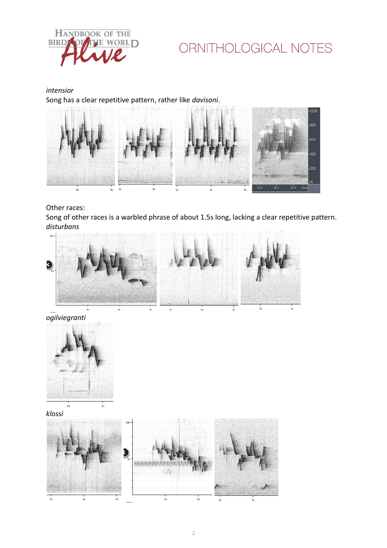

# ORNITHOLOGICAL NOTES

*intensior* Song has a clear repetitive pattern, rather like *davisoni*.



# Other races:

Song of other races is a warbled phrase of about 1.5s long, lacking a clear repetitive pattern. *disturbans*



*ogilviegranti*



*klossi*